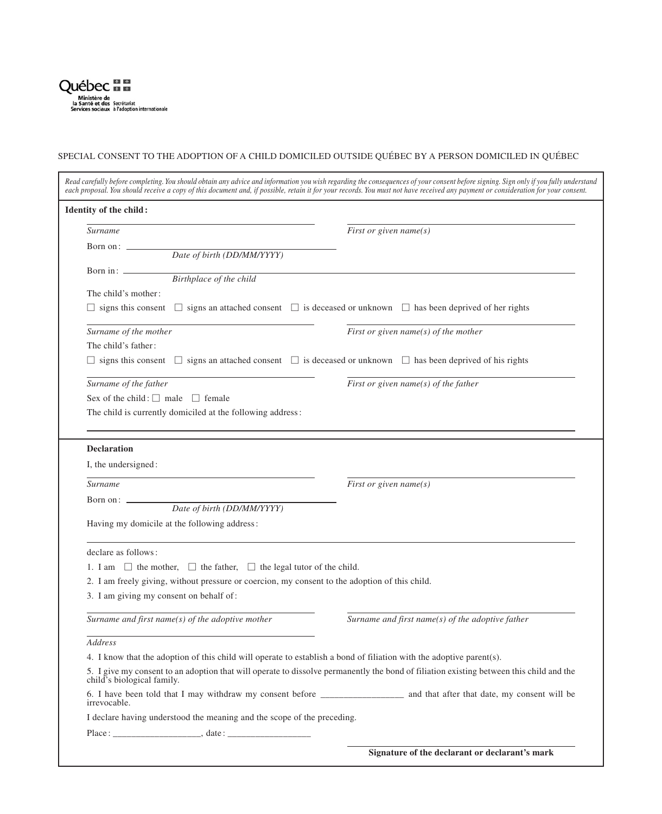

ı

## SPECIAL CONSENT TO THE ADOPTION OF A CHILD DOMICILED OUTSIDE QUÉBEC BY A PERSON DOMICILED IN QUÉBEC

| each proposal. You should receive a copy of this document and, if possible, retain it for your records. You must not have received any payment or consideration for your consent. | Read carefully before completing. You should obtain any advice and information you wish regarding the consequences of your consent before signing. Sign only if you fully understand |
|-----------------------------------------------------------------------------------------------------------------------------------------------------------------------------------|--------------------------------------------------------------------------------------------------------------------------------------------------------------------------------------|
| Identity of the child:                                                                                                                                                            |                                                                                                                                                                                      |
| Surname                                                                                                                                                                           | First or given name(s)                                                                                                                                                               |
| Born on: _<br>Date of birth (DD/MM/YYYY)                                                                                                                                          |                                                                                                                                                                                      |
| Born in: $\_\_$                                                                                                                                                                   |                                                                                                                                                                                      |
| Birthplace of the child                                                                                                                                                           |                                                                                                                                                                                      |
| The child's mother:                                                                                                                                                               |                                                                                                                                                                                      |
| $\Box$ signs this consent $\Box$ signs an attached consent $\Box$ is deceased or unknown $\Box$ has been deprived of her rights                                                   |                                                                                                                                                                                      |
| Surname of the mother                                                                                                                                                             | First or given name( $s$ ) of the mother                                                                                                                                             |
| The child's father:                                                                                                                                                               |                                                                                                                                                                                      |
| $\Box$ signs this consent $\Box$ signs an attached consent $\Box$ is deceased or unknown $\Box$ has been deprived of his rights                                                   |                                                                                                                                                                                      |
| Surname of the father                                                                                                                                                             | First or given name( $s$ ) of the father                                                                                                                                             |
| Sex of the child: $\Box$ male $\Box$ female                                                                                                                                       |                                                                                                                                                                                      |
| The child is currently domiciled at the following address:                                                                                                                        |                                                                                                                                                                                      |
|                                                                                                                                                                                   |                                                                                                                                                                                      |
| <b>Declaration</b>                                                                                                                                                                |                                                                                                                                                                                      |
| I, the undersigned:                                                                                                                                                               |                                                                                                                                                                                      |
| <b>Surname</b>                                                                                                                                                                    | First or given name(s)                                                                                                                                                               |
| Born on: _                                                                                                                                                                        |                                                                                                                                                                                      |
| Date of birth (DD/MM/YYYY)                                                                                                                                                        |                                                                                                                                                                                      |
| Having my domicile at the following address:                                                                                                                                      |                                                                                                                                                                                      |
| declare as follows:                                                                                                                                                               |                                                                                                                                                                                      |
| 1. I am $\Box$ the mother, $\Box$ the father, $\Box$ the legal tutor of the child.                                                                                                |                                                                                                                                                                                      |
| 2. I am freely giving, without pressure or coercion, my consent to the adoption of this child.                                                                                    |                                                                                                                                                                                      |
| 3. I am giving my consent on behalf of:                                                                                                                                           |                                                                                                                                                                                      |
| Surname and first name( $s$ ) of the adoptive mother                                                                                                                              | Surname and first name( $s$ ) of the adoptive father                                                                                                                                 |
| Address                                                                                                                                                                           |                                                                                                                                                                                      |
| 4. I know that the adoption of this child will operate to establish a bond of filiation with the adoptive parent(s).                                                              |                                                                                                                                                                                      |
| 5. I give my consent to an adoption that will operate to dissolve permanently the bond of filiation existing between this child and the<br>child's biological family.             |                                                                                                                                                                                      |
| 6. I have been told that I may withdraw my consent before _______________________ and that after that date, my consent will be<br>irrevocable.                                    |                                                                                                                                                                                      |
| I declare having understood the meaning and the scope of the preceding.                                                                                                           |                                                                                                                                                                                      |
|                                                                                                                                                                                   |                                                                                                                                                                                      |
|                                                                                                                                                                                   | Signature of the declarant or declarant's mark                                                                                                                                       |